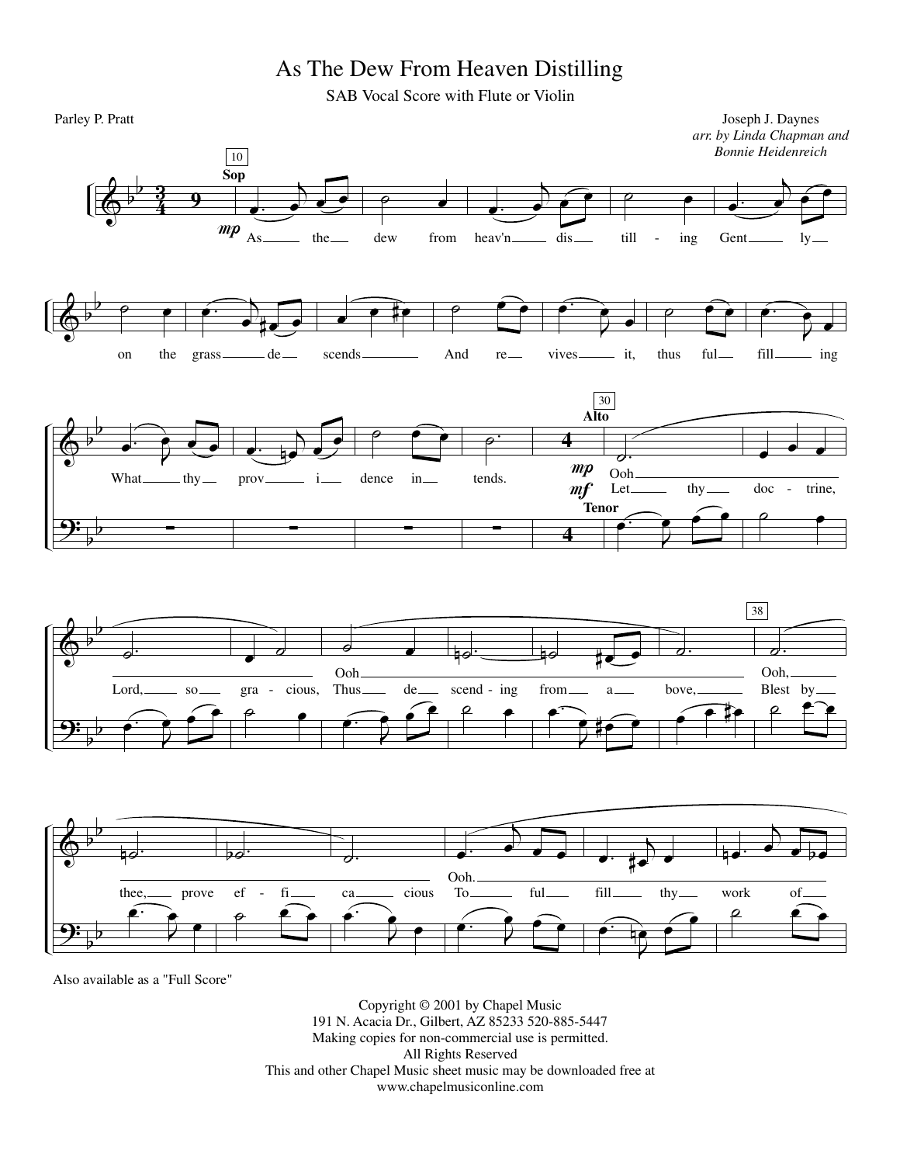## As The Dew From Heaven Distilling

SAB Vocal Score with Flute or Violin



Also available as a "Full Score"

Copyright © 2001 by Chapel Music 191 N. Acacia Dr., Gilbert, AZ 85233 520-885-5447 Making copies for non-commercial use is permitted. All Rights Reserved This and other Chapel Music sheet music may be downloaded free at www.chapelmusiconline.com